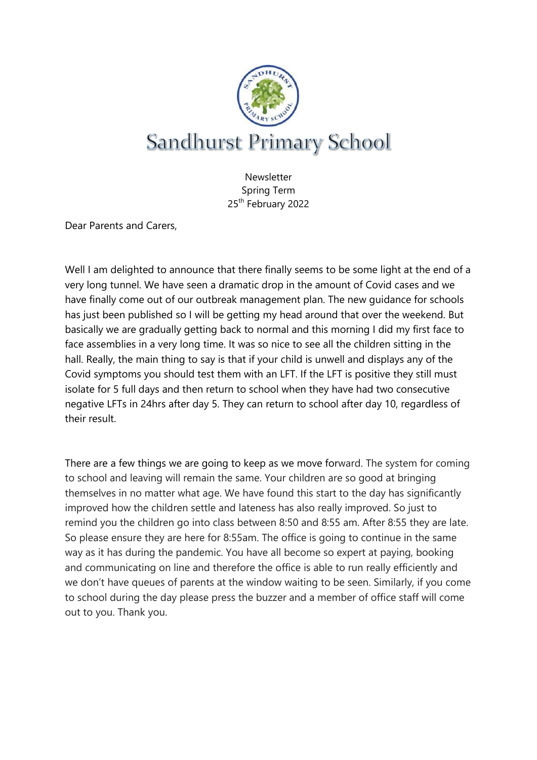

**Newsletter** Spring Term 25th February 2022

Dear Parents and Carers,

Well I am delighted to announce that there finally seems to be some light at the end of a very long tunnel. We have seen a dramatic drop in the amount of Covid cases and we have finally come out of our outbreak management plan. The new guidance for schools has just been published so I will be getting my head around that over the weekend. But basically we are gradually getting back to normal and this morning I did my first face to face assemblies in a very long time. It was so nice to see all the children sitting in the hall. Really, the main thing to say is that if your child is unwell and displays any of the Covid symptoms you should test them with an LFT. If the LFT is positive they still must isolate for 5 full days and then return to school when they have had two consecutive negative LFTs in 24hrs after day 5. They can return to school after day 10, regardless of their result.

There are a few things we are going to keep as we move forward. The system for coming to school and leaving will remain the same. Your children are so good at bringing themselves in no matter what age. We have found this start to the day has significantly improved how the children settle and lateness has also really improved. So just to remind you the children go into class between 8:50 and 8:55 am. After 8:55 they are late. So please ensure they are here for 8:55am. The office is going to continue in the same way as it has during the pandemic. You have all become so expert at paying, booking and communicating on line and therefore the office is able to run really efficiently and we don't have queues of parents at the window waiting to be seen. Similarly, if you come to school during the day please press the buzzer and a member of office staff will come out to you. Thank you.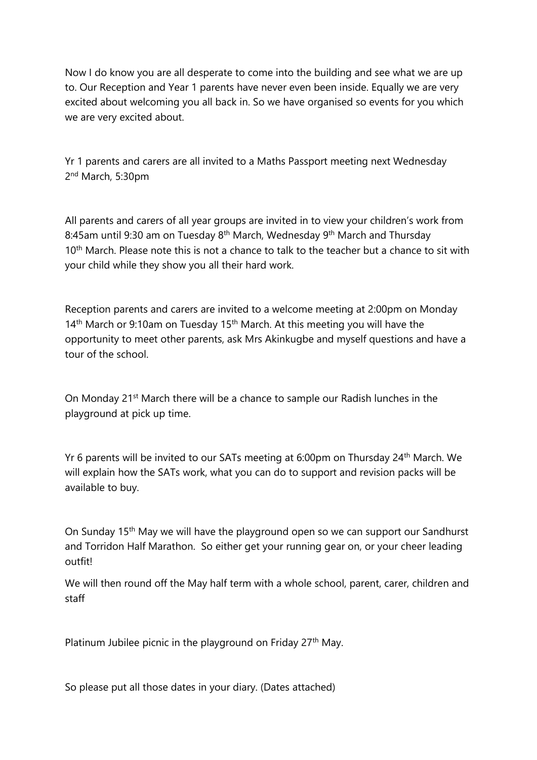Now I do know you are all desperate to come into the building and see what we are up to. Our Reception and Year 1 parents have never even been inside. Equally we are very excited about welcoming you all back in. So we have organised so events for you which we are very excited about.

Yr 1 parents and carers are all invited to a Maths Passport meeting next Wednesday 2<sup>nd</sup> March, 5:30pm

All parents and carers of all year groups are invited in to view your children's work from 8:45am until 9:30 am on Tuesday 8<sup>th</sup> March, Wednesday 9<sup>th</sup> March and Thursday 10<sup>th</sup> March. Please note this is not a chance to talk to the teacher but a chance to sit with your child while they show you all their hard work.

Reception parents and carers are invited to a welcome meeting at 2:00pm on Monday 14<sup>th</sup> March or 9:10am on Tuesday 15<sup>th</sup> March. At this meeting you will have the opportunity to meet other parents, ask Mrs Akinkugbe and myself questions and have a tour of the school.

On Monday 21st March there will be a chance to sample our Radish lunches in the playground at pick up time.

Yr 6 parents will be invited to our SATs meeting at 6:00pm on Thursday 24th March. We will explain how the SATs work, what you can do to support and revision packs will be available to buy.

On Sunday 15th May we will have the playground open so we can support our Sandhurst and Torridon Half Marathon. So either get your running gear on, or your cheer leading outfit!

We will then round off the May half term with a whole school, parent, carer, children and staff

Platinum Jubilee picnic in the playground on Friday 27<sup>th</sup> May.

So please put all those dates in your diary. (Dates attached)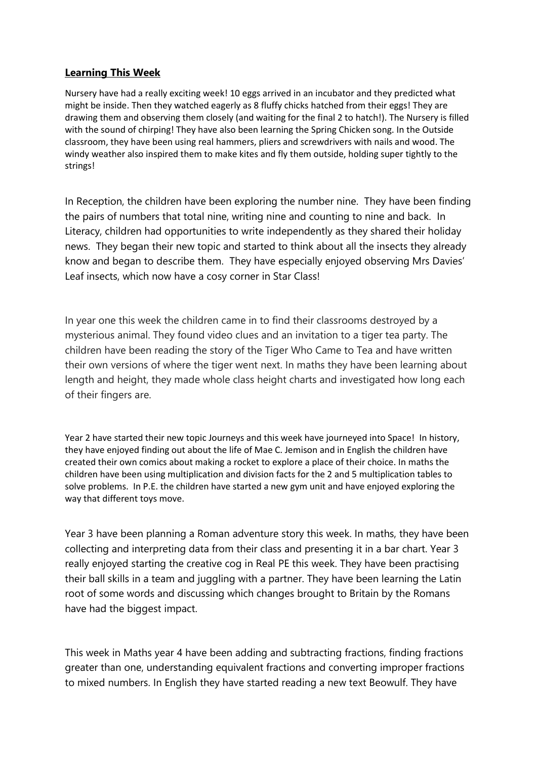#### **Learning This Week**

Nursery have had a really exciting week! 10 eggs arrived in an incubator and they predicted what might be inside. Then they watched eagerly as 8 fluffy chicks hatched from their eggs! They are drawing them and observing them closely (and waiting for the final 2 to hatch!). The Nursery is filled with the sound of chirping! They have also been learning the Spring Chicken song. In the Outside classroom, they have been using real hammers, pliers and screwdrivers with nails and wood. The windy weather also inspired them to make kites and fly them outside, holding super tightly to the strings!

In Reception, the children have been exploring the number nine. They have been finding the pairs of numbers that total nine, writing nine and counting to nine and back. In Literacy, children had opportunities to write independently as they shared their holiday news. They began their new topic and started to think about all the insects they already know and began to describe them. They have especially enjoyed observing Mrs Davies' Leaf insects, which now have a cosy corner in Star Class!

In year one this week the children came in to find their classrooms destroyed by a mysterious animal. They found video clues and an invitation to a tiger tea party. The children have been reading the story of the Tiger Who Came to Tea and have written their own versions of where the tiger went next. In maths they have been learning about length and height, they made whole class height charts and investigated how long each of their fingers are.

Year 2 have started their new topic Journeys and this week have journeyed into Space! In history, they have enjoyed finding out about the life of Mae C. Jemison and in English the children have created their own comics about making a rocket to explore a place of their choice. In maths the children have been using multiplication and division facts for the 2 and 5 multiplication tables to solve problems. In P.E. the children have started a new gym unit and have enjoyed exploring the way that different toys move.

Year 3 have been planning a Roman adventure story this week. In maths, they have been collecting and interpreting data from their class and presenting it in a bar chart. Year 3 really enjoyed starting the creative cog in Real PE this week. They have been practising their ball skills in a team and juggling with a partner. They have been learning the Latin root of some words and discussing which changes brought to Britain by the Romans have had the biggest impact.

This week in Maths year 4 have been adding and subtracting fractions, finding fractions greater than one, understanding equivalent fractions and converting improper fractions to mixed numbers. In English they have started reading a new text Beowulf. They have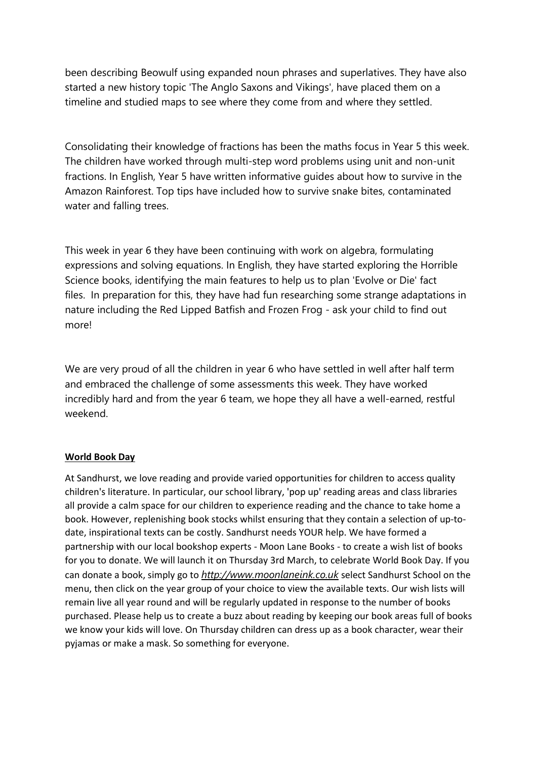been describing Beowulf using expanded noun phrases and superlatives. They have also started a new history topic 'The Anglo Saxons and Vikings', have placed them on a timeline and studied maps to see where they come from and where they settled.

Consolidating their knowledge of fractions has been the maths focus in Year 5 this week. The children have worked through multi-step word problems using unit and non-unit fractions. In English, Year 5 have written informative guides about how to survive in the Amazon Rainforest. Top tips have included how to survive snake bites, contaminated water and falling trees.

This week in year 6 they have been continuing with work on algebra, formulating expressions and solving equations. In English, they have started exploring the Horrible Science books, identifying the main features to help us to plan 'Evolve or Die' fact files. In preparation for this, they have had fun researching some strange adaptations in nature including the Red Lipped Batfish and Frozen Frog - ask your child to find out more!

We are very proud of all the children in year 6 who have settled in well after half term and embraced the challenge of some assessments this week. They have worked incredibly hard and from the year 6 team, we hope they all have a well-earned, restful weekend.

#### **World Book Day**

At Sandhurst, we love reading and provide varied opportunities for children to access quality children's literature. In particular, our school library, 'pop up' reading areas and class libraries all provide a calm space for our children to experience reading and the chance to take home a book. However, replenishing book stocks whilst ensuring that they contain a selection of up-todate, inspirational texts can be costly. Sandhurst needs YOUR help. We have formed a partnership with our local bookshop experts - Moon Lane Books - to create a wish list of books for you to donate. We will launch it on Thursday 3rd March, to celebrate World Book Day. If you can donate a book, simply go to *[http://www.moonlaneink.co.uk](http://www.moonlaneink.co.uk/)* select Sandhurst School on the menu, then click on the year group of your choice to view the available texts. Our wish lists will remain live all year round and will be regularly updated in response to the number of books purchased. Please help us to create a buzz about reading by keeping our book areas full of books we know your kids will love. On Thursday children can dress up as a book character, wear their pyjamas or make a mask. So something for everyone.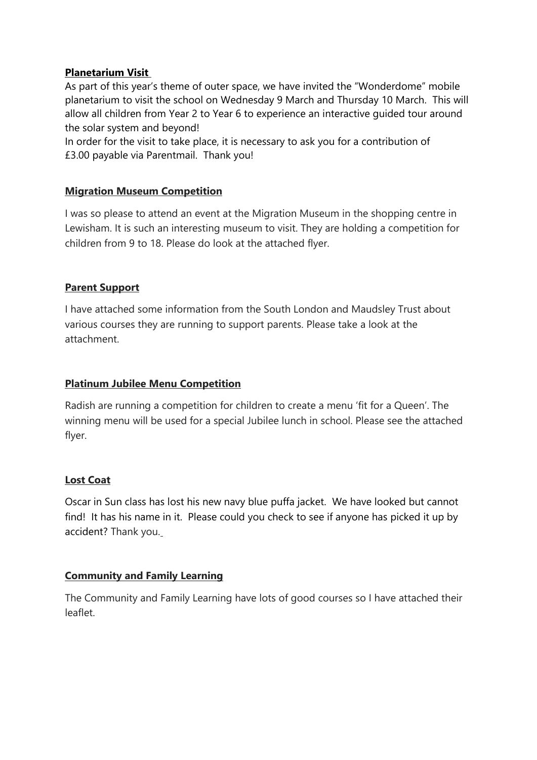### **Planetarium Visit**

As part of this year's theme of outer space, we have invited the "Wonderdome" mobile planetarium to visit the school on Wednesday 9 March and Thursday 10 March. This will allow all children from Year 2 to Year 6 to experience an interactive guided tour around the solar system and beyond!

In order for the visit to take place, it is necessary to ask you for a contribution of £3.00 payable via Parentmail. Thank you!

#### **Migration Museum Competition**

I was so please to attend an event at the Migration Museum in the shopping centre in Lewisham. It is such an interesting museum to visit. They are holding a competition for children from 9 to 18. Please do look at the attached flyer.

#### **Parent Support**

I have attached some information from the South London and Maudsley Trust about various courses they are running to support parents. Please take a look at the attachment.

### **Platinum Jubilee Menu Competition**

Radish are running a competition for children to create a menu 'fit for a Queen'. The winning menu will be used for a special Jubilee lunch in school. Please see the attached flyer.

#### **Lost Coat**

Oscar in Sun class has lost his new navy blue puffa jacket. We have looked but cannot find! It has his name in it. Please could you check to see if anyone has picked it up by accident? Thank you.

# **Community and Family Learning**

The Community and Family Learning have lots of good courses so I have attached their leaflet.